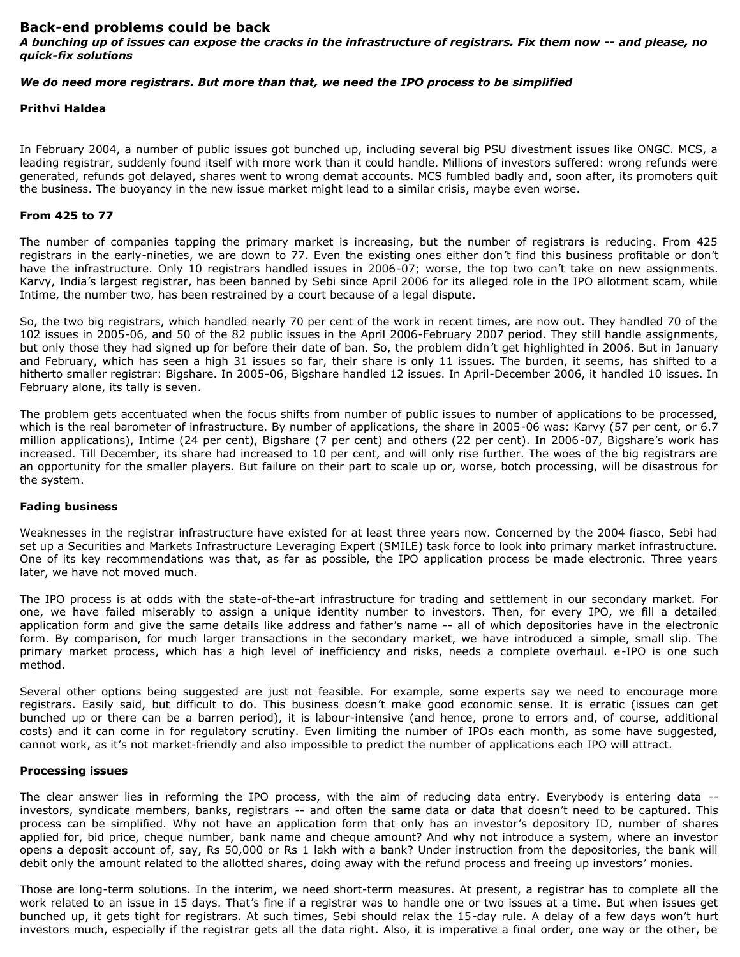## **Back-end problems could be back**

*A bunching up of issues can expose the cracks in the infrastructure of registrars. Fix them now -- and please, no quick-fix solutions*

# *We do need more registrars. But more than that, we need the IPO process to be simplified*

#### **Prithvi Haldea**

In February 2004, a number of public issues got bunched up, including several big PSU divestment issues like ONGC. MCS, a leading registrar, suddenly found itself with more work than it could handle. Millions of investors suffered: wrong refunds were generated, refunds got delayed, shares went to wrong demat accounts. MCS fumbled badly and, soon after, its promoters quit the business. The buoyancy in the new issue market might lead to a similar crisis, maybe even worse.

# **From 425 to 77**

The number of companies tapping the primary market is increasing, but the number of registrars is reducing. From 425 registrars in the early-nineties, we are down to 77. Even the existing ones either don't find this business profitable or don't have the infrastructure. Only 10 registrars handled issues in 2006-07; worse, the top two can't take on new assignments. Karvy, India's largest registrar, has been banned by Sebi since April 2006 for its alleged role in the IPO allotment scam, while Intime, the number two, has been restrained by a court because of a legal dispute.

So, the two big registrars, which handled nearly 70 per cent of the work in recent times, are now out. They handled 70 of the 102 issues in 2005-06, and 50 of the 82 public issues in the April 2006-February 2007 period. They still handle assignments, but only those they had signed up for before their date of ban. So, the problem didn't get highlighted in 2006. But in January and February, which has seen a high 31 issues so far, their share is only 11 issues. The burden, it seems, has shifted to a hitherto smaller registrar: Bigshare. In 2005-06, Bigshare handled 12 issues. In April-December 2006, it handled 10 issues. In February alone, its tally is seven.

The problem gets accentuated when the focus shifts from number of public issues to number of applications to be processed, which is the real barometer of infrastructure. By number of applications, the share in 2005-06 was: Karvy (57 per cent, or 6.7 million applications), Intime (24 per cent), Bigshare (7 per cent) and others (22 per cent). In 2006-07, Bigshare's work has increased. Till December, its share had increased to 10 per cent, and will only rise further. The woes of the big registrars are an opportunity for the smaller players. But failure on their part to scale up or, worse, botch processing, will be disastrous for the system.

#### **Fading business**

Weaknesses in the registrar infrastructure have existed for at least three years now. Concerned by the 2004 fiasco, Sebi had set up a Securities and Markets Infrastructure Leveraging Expert (SMILE) task force to look into primary market infrastructure. One of its key recommendations was that, as far as possible, the IPO application process be made electronic. Three years later, we have not moved much.

The IPO process is at odds with the state-of-the-art infrastructure for trading and settlement in our secondary market. For one, we have failed miserably to assign a unique identity number to investors. Then, for every IPO, we fill a detailed application form and give the same details like address and father's name -- all of which depositories have in the electronic form. By comparison, for much larger transactions in the secondary market, we have introduced a simple, small slip. The primary market process, which has a high level of inefficiency and risks, needs a complete overhaul. e-IPO is one such method.

Several other options being suggested are just not feasible. For example, some experts say we need to encourage more registrars. Easily said, but difficult to do. This business doesn't make good economic sense. It is erratic (issues can get bunched up or there can be a barren period), it is labour-intensive (and hence, prone to errors and, of course, additional costs) and it can come in for regulatory scrutiny. Even limiting the number of IPOs each month, as some have suggested, cannot work, as it's not market-friendly and also impossible to predict the number of applications each IPO will attract.

#### **Processing issues**

The clear answer lies in reforming the IPO process, with the aim of reducing data entry. Everybody is entering data - investors, syndicate members, banks, registrars -- and often the same data or data that doesn't need to be captured. This process can be simplified. Why not have an application form that only has an investor's depository ID, number of shares applied for, bid price, cheque number, bank name and cheque amount? And why not introduce a system, where an investor opens a deposit account of, say, Rs 50,000 or Rs 1 lakh with a bank? Under instruction from the depositories, the bank will debit only the amount related to the allotted shares, doing away with the refund process and freeing up investors' monies.

Those are long-term solutions. In the interim, we need short-term measures. At present, a registrar has to complete all the work related to an issue in 15 days. That's fine if a registrar was to handle one or two issues at a time. But when issues get bunched up, it gets tight for registrars. At such times, Sebi should relax the 15-day rule. A delay of a few days won't hurt investors much, especially if the registrar gets all the data right. Also, it is imperative a final order, one way or the other, be